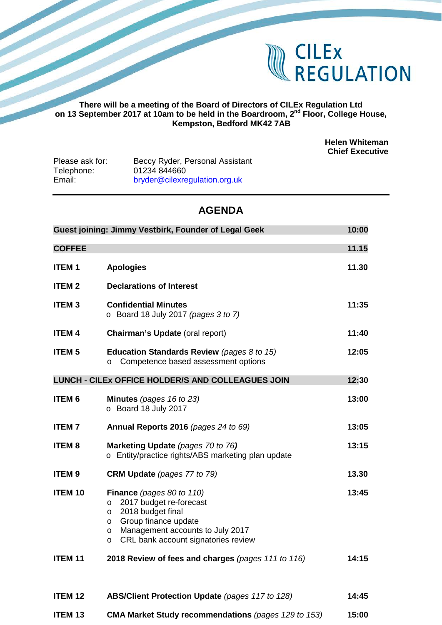

## **There will be a meeting of the Board of Directors of CILEx Regulation Ltd on 13 September 2017 at 10am to be held in the Boardroom, 2nd Floor, College House, Kempston, Bedford MK42 7AB**

**Helen Whiteman Chief Executive**

| Please ask for: | Beccy Ryder, Personal Assistant |
|-----------------|---------------------------------|
| Telephone:      | 01234 844660                    |
| Email:          | bryder@cilexregulation.org.uk   |

# **AGENDA**

| Guest joining: Jimmy Vestbirk, Founder of Legal Geek |                                                                                                                                                                                                                                     | 10:00 |
|------------------------------------------------------|-------------------------------------------------------------------------------------------------------------------------------------------------------------------------------------------------------------------------------------|-------|
| <b>COFFEE</b>                                        |                                                                                                                                                                                                                                     | 11.15 |
| <b>ITEM1</b>                                         | <b>Apologies</b>                                                                                                                                                                                                                    | 11.30 |
| <b>ITEM 2</b>                                        | <b>Declarations of Interest</b>                                                                                                                                                                                                     |       |
| <b>ITEM3</b>                                         | <b>Confidential Minutes</b><br>$\circ$ Board 18 July 2017 (pages 3 to 7)                                                                                                                                                            | 11:35 |
| <b>ITEM 4</b>                                        | Chairman's Update (oral report)                                                                                                                                                                                                     | 11:40 |
| <b>ITEM 5</b>                                        | <b>Education Standards Review</b> (pages 8 to 15)<br>Competence based assessment options<br>$\circ$                                                                                                                                 | 12:05 |
|                                                      | LUNCH - CILEX OFFICE HOLDER/S AND COLLEAGUES JOIN                                                                                                                                                                                   | 12:30 |
| <b>ITEM 6</b>                                        | <b>Minutes</b> (pages $16$ to $23$ )<br>o Board 18 July 2017                                                                                                                                                                        | 13:00 |
| <b>ITEM7</b>                                         | Annual Reports 2016 (pages 24 to 69)                                                                                                                                                                                                | 13:05 |
| <b>ITEM 8</b>                                        | Marketing Update (pages 70 to 76)<br>o Entity/practice rights/ABS marketing plan update                                                                                                                                             | 13:15 |
| <b>ITEM 9</b>                                        | <b>CRM Update</b> (pages 77 to 79)                                                                                                                                                                                                  | 13.30 |
| <b>ITEM 10</b>                                       | Finance (pages 80 to 110)<br>2017 budget re-forecast<br>$\circ$<br>2018 budget final<br>$\circ$<br>Group finance update<br>$\circ$<br>Management accounts to July 2017<br>$\circ$<br>CRL bank account signatories review<br>$\circ$ | 13:45 |
| <b>ITEM 11</b>                                       | 2018 Review of fees and charges (pages 111 to 116)                                                                                                                                                                                  | 14:15 |
| ITEM <sub>12</sub>                                   | <b>ABS/Client Protection Update (pages 117 to 128)</b>                                                                                                                                                                              | 14:45 |
| <b>ITEM 13</b>                                       | CMA Market Study recommendations (pages 129 to 153)                                                                                                                                                                                 | 15:00 |